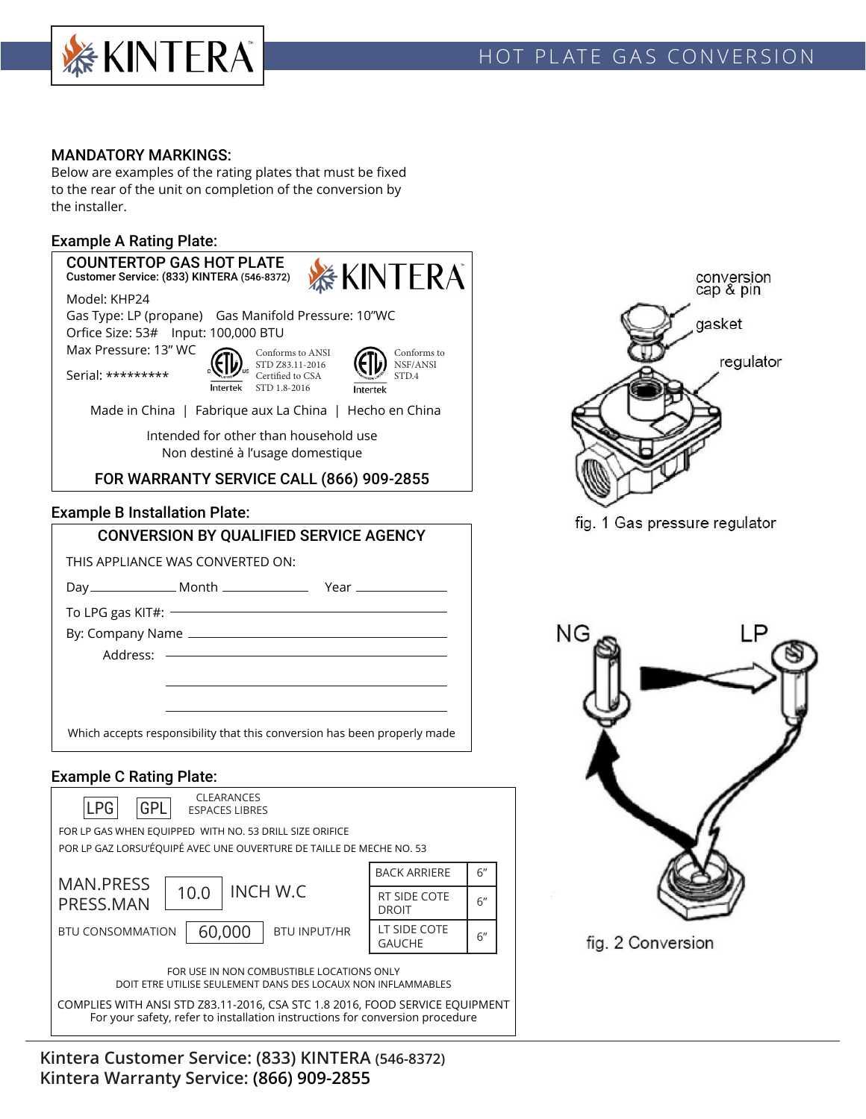

# HOT PLATE GAS CONVERSION

### MANDATORY MARKINGS:

Below are examples of the rating plates that must be fixed to the rear of the unit on completion of the conversion by the installer.

### Example A Rating Plate:

### COUNTERTOP GAS HOT PLATE **SEXINTERA** Customer Service: (833) KINTERA (546-8372) Model: KHP24 Gas Type: LP (propane) Gas Manifold Pressure: 10"WC Orfice Size: 53# Input: 100,000 BTU Max Pressure: 13" WC Conforms to ANSI Conforms to NSF/ANSI STD Z83.11-2016 Serial: \*\*\*\*\*\*\*\*\* Certified to CSA STD.4**Intertek** STD 1.8-2016 **Intertek** Made in China | Fabrique aux La China | Hecho en China Intended for other than household use Non destiné à l'usage domestique FOR WARRANTY SERVICE CALL (866) 909-2855 Example B Installation Plate: CONVERSION BY QUALIFIED SERVICE AGENCY THIS APPLIANCE WAS CONVERTED ON: Day Month Year To LPG gas KIT#:  $-$ By: Company Name Address:  $\longrightarrow$ Which accepts responsibility that this conversion has been properly made

### Example C Rating Plate:



**Kintera Customer Service: (833) KINTERA (546-8372) Kintera Warranty Service: (866) 909-2855**



fig. 1 Gas pressure regulator

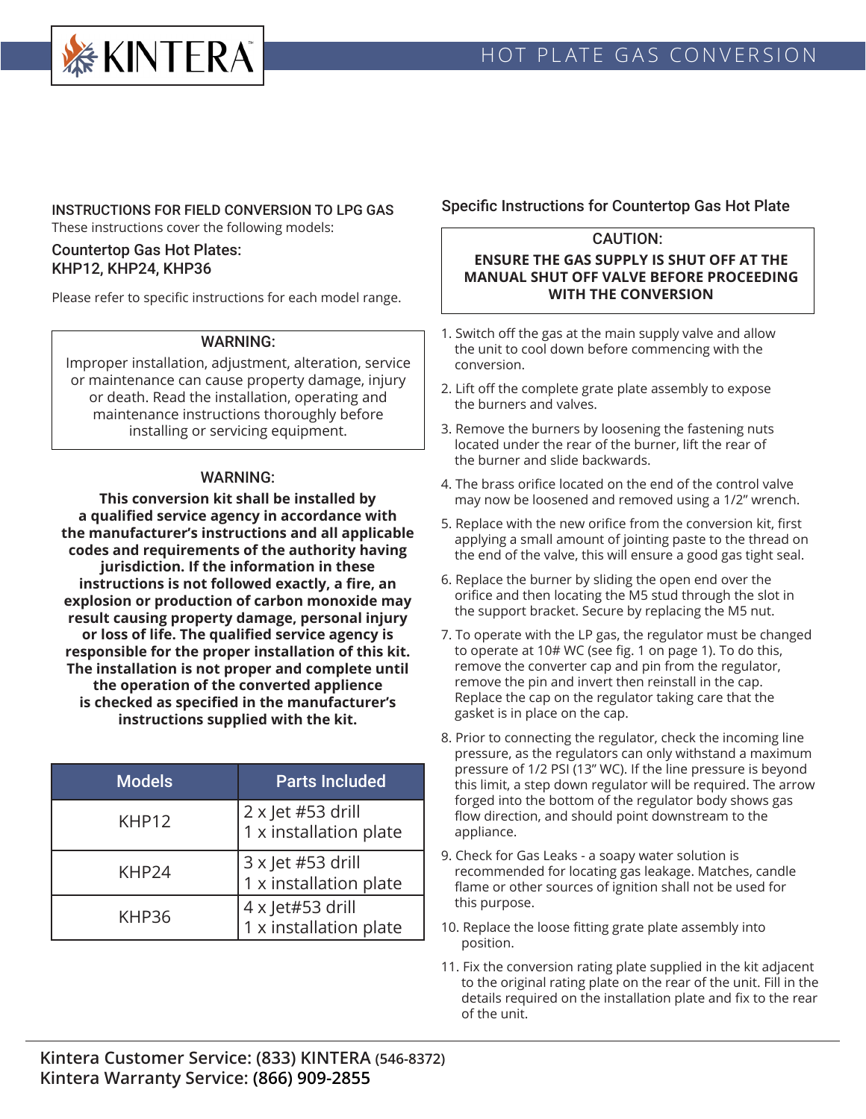

### INSTRUCTIONS FOR FIELD CONVERSION TO LPG GAS These instructions cover the following models:

### Countertop Gas Hot Plates: KHP12, KHP24, KHP36

Please refer to specific instructions for each model range.

### WARNING:

Improper installation, adjustment, alteration, service or maintenance can cause property damage, injury or death. Read the installation, operating and maintenance instructions thoroughly before installing or servicing equipment.

### WARNING:

**This conversion kit shall be installed by a qualified service agency in accordance with the manufacturer's instructions and all applicable codes and requirements of the authority having jurisdiction. If the information in these instructions is not followed exactly, a fire, an explosion or production of carbon monoxide may result causing property damage, personal injury or loss of life. The qualified service agency is responsible for the proper installation of this kit. The installation is not proper and complete until the operation of the converted applience is checked as specified in the manufacturer's instructions supplied with the kit.**

| <b>Models</b>     | <b>Parts Included</b>                              |
|-------------------|----------------------------------------------------|
| KHP <sub>12</sub> | $2 \times$ Jet #53 drill<br>1 x installation plate |
| KHP24             | 3 x Jet #53 drill<br>1 x installation plate        |
| KHP36             | 4 x Jet#53 drill<br>1 x installation plate         |

## Specific Instructions for Countertop Gas Hot Plate

## CAUTION:

### **ENSURE THE GAS SUPPLY IS SHUT OFF AT THE MANUAL SHUT OFF VALVE BEFORE PROCEEDING WITH THE CONVERSION**

- 1. Switch off the gas at the main supply valve and allow the unit to cool down before commencing with the conversion.
- 2. Lift off the complete grate plate assembly to expose the burners and valves.
- 3. Remove the burners by loosening the fastening nuts located under the rear of the burner, lift the rear of the burner and slide backwards.
- 4. The brass orifice located on the end of the control valve may now be loosened and removed using a 1/2" wrench.
- 5. Replace with the new orifice from the conversion kit, first applying a small amount of jointing paste to the thread on the end of the valve, this will ensure a good gas tight seal.
- 6. Replace the burner by sliding the open end over the orifice and then locating the M5 stud through the slot in the support bracket. Secure by replacing the M5 nut.
- 7. To operate with the LP gas, the regulator must be changed to operate at 10# WC (see fig. 1 on page 1). To do this, remove the converter cap and pin from the regulator, remove the pin and invert then reinstall in the cap. Replace the cap on the regulator taking care that the gasket is in place on the cap.
- 8. Prior to connecting the regulator, check the incoming line pressure, as the regulators can only withstand a maximum pressure of 1/2 PSI (13" WC). If the line pressure is beyond this limit, a step down regulator will be required. The arrow forged into the bottom of the regulator body shows gas flow direction, and should point downstream to the appliance.
- 9. Check for Gas Leaks a soapy water solution is recommended for locating gas leakage. Matches, candle flame or other sources of ignition shall not be used for this purpose.
- 10. Replace the loose fitting grate plate assembly into position.
- 11. Fix the conversion rating plate supplied in the kit adjacent to the original rating plate on the rear of the unit. Fill in the details required on the installation plate and fix to the rear of the unit.